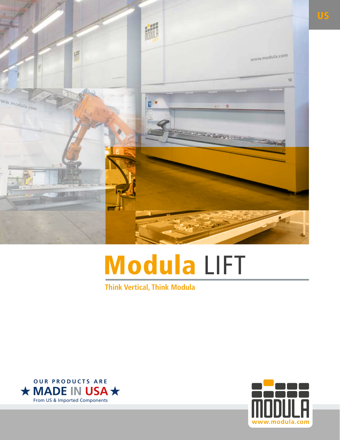

# Modula LIFT

**Think Vertical, Think Modula**



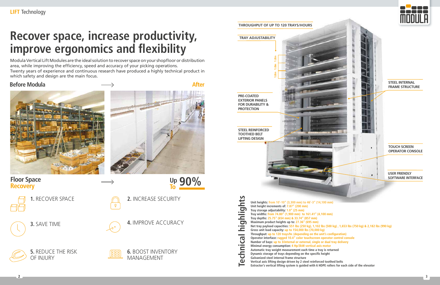

**Floor Space Recovery**



**U**

**To p 90%**

# **Recover space, increase productivity, improve ergonomics and flexibility**



Modula Vertical Lift Modules are the ideal solution to recover space on your shopfloor or distribution area, while improving the efficiency, speed and accuracy of your picking operations. Twenty years of experience and continuous research have produced a highly technical product in which safety and design are the main focus.

**Before Modula** After





#### **THROUGHPUT OF UP TO 120 TRAYS/HOURS**

**1.** RECOVER SPACE



**3.** SAVE TIME



**5.** REDUCE THE RISK OF INJURY

|  | 2. INCR |
|--|---------|
|  |         |

**REASE SECURITY** 

**4.** IMPROVE ACCURACY

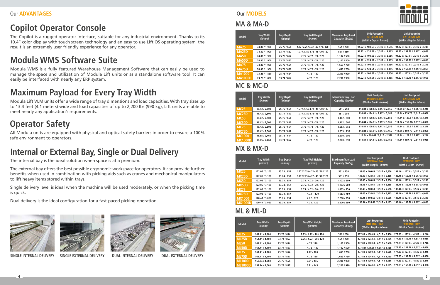**4 5**



The internal bay is the ideal solution when space is at a premium.

The external bay offers the best possible ergonomic workspace for operators. It can provide further benefits when used in combination with picking aids such as cranes and mechanical manipulators to lift heavy items stored within trays.

Single delivery level is ideal when the machine will be used moderately, or when the picking time is quick.

Dual delivery is the ideal configuration for a fast-paced picking operation.





# **Internal or External Bay, Single or Dual Delivery**

# **Operator Safety**

All Modula units are equipped with physical and optical safety barriers in order to ensure a 100% safe environment to operators.

Modula WMS is a fully featured Warehouse Management Software that can easily be used to manage the space and utilization of Modula Lift units or as a standalone software tool. It can easily be interfaced with nearly any ERP system.

# **Modula WMS Software Suite**

Modula Lift VLM units offer a wide range of tray dimensions and load capacities. With tray sizes up to 13.4 feet (4.1 meters) wide and load capacities of up to 2,200 lbs (990 kg), Lift units are able to meet nearly any application's requirements.

# **Maximum Payload for Every Tray Width**

The Copilot is a rugged operator interface, suitable for any industrial environment. Thanks to its 10.4" color display with touch screen technology and an easy to use Lift OS operating system, the result is an extremely user friendly experience for any operator.

## **Copilot Operator Console**

## **ML & ML-D**

## **MX & MX-D**

| <b>Model</b>   | <b>Tray Width</b><br>(in/mm) | <b>Tray Depth</b><br>(in/mm) | <b>Tray Wall Height</b><br>(in/mm) | Maximum Tray Load<br>Capacity (lbs/kg) | <b>Unit Footprint</b><br><b>INTERNAL BAY</b><br>(Width x Depth - <i>in/mm</i> ) | <b>Unit Footprint</b><br><b>EXTERNAL BAY</b><br>(Width x Depth - <i>in/mm</i> ) |
|----------------|------------------------------|------------------------------|------------------------------------|----------------------------------------|---------------------------------------------------------------------------------|---------------------------------------------------------------------------------|
| <b>MX25</b>    | 122.05 / 3,100               | 25.75 / 654                  | 1.77 / 2.75 / 4.72 - 45 / 70 / 120 | 551/250                                | 138.46 x 100.63 / 3,517 x 2,556                                                 | 138.46 x 127.8 / 3,517 x 3,246                                                  |
| <b>MX25D</b>   | 122.05 / 3,100               | 33.74 / 857                  | 1.77 / 2.75 / 4.72 - 45 / 70 / 120 | 551/250                                | 138.46 x 124.61 / 3,517 x 3,165                                                 | 138.46 x 159.76 / 3,517 x 4,058                                                 |
| <b>MX50</b>    | 122.05 / 3.100               | 25.75 / 654                  | $2.75/4.72 - 70/120$               | 1.102 / 500                            | 138.46 x 100.63 / 3,517 x 2,556                                                 | 138.46 x 127.8 / 3,517 x 3,246                                                  |
| MX50D          | 122.05 / 3,100               | 33.74 / 857                  | $2.75/4.72 - 70/120$               | 1,102/500                              | 138.46 x 124.61 / 3,517 x 3,165                                                 | 138.46 x 159.76 / 3,517 x 4,058                                                 |
| <b>MX75</b>    | 122.05 / 3,100               | 25.75 / 654                  | $2.75/4.72 - 70/120$               | 1,653/750                              | 138.46 x 100.63 / 3,517 x 2,556                                                 | 138.46 x 127.8 / 3,517 x 3,246                                                  |
| <b>MX75D</b>   | 122.05 / 3,100               | 33.74 / 857                  | $4.72 - 120$                       | 1,653/750                              | 138.46 x 124.61 / 3,517 x 3,165                                                 | 138.46 x 159.76 / 3,517 x 4,058                                                 |
| <b>MX1000</b>  | 120.47 / 3.060               | 25.75 / 654                  | 4.72/120                           | 2.200 / 990                            | 138.46 x 100.63 / 3,517 x 2,556                                                 | 138.46 x 127.8 / 3,517 x 3,246                                                  |
| <b>MX1000D</b> | 120.47 / 3.060               | 33.74 / 857                  | 4.72 / 120                         | 2.200 / 990                            | 138.46 x 124.61 / 3,517 x 3,165                                                 | 138.46 x 159.76 / 3,517 x 4,058                                                 |

| <b>Model</b>   | <b>Tray Width</b><br>(in/mm) | <b>Tray Depth</b><br>(in/mm) | <b>Tray Wall Height</b><br>(in/mm) | <b>Maximum Tray Load</b><br>Capacity (lbs/kg) | <b>Unit Footprint</b><br><b>INTERNAL BAY</b><br>(Width x Depth - <i>in/mm</i> ) | Unit Footprint<br><b>EXTERNAL BAY</b><br>(Width x Depth - <i>in/mm</i> ) |
|----------------|------------------------------|------------------------------|------------------------------------|-----------------------------------------------|---------------------------------------------------------------------------------|--------------------------------------------------------------------------|
| <b>ML25</b>    | 161.41 / 4.100               | 25.75 / 654                  | $2.75/4.72 - 70/120$               | 551/250                                       | 177.83 x 100.63 / 4,517 x 2,556                                                 | 177.83 x 127.8 / 4,517 x 3,246                                           |
| <b>ML25D</b>   | 161.41 / 4,100               | 33.74 / 857                  | $2.75/4.72 - 70/120$               | 551/250                                       | 177.83 x 124.61 / 4,517 x 3,165                                                 | 177.83 x 159.76 / 4,517 x 4,058                                          |
| <b>ML50</b>    | 161.41 / 4,100               | 25.75 / 654                  | 4.72/120                           | 1,102/500                                     | 177.83 x 100.63 / 4,517 x 2,556                                                 | 177.83 x 127.8 / 4,517 x 3,246                                           |
| ML50D          | 161.41 / 4,100               | 33.74 / 857                  | 4.72 / 120                         | 1,102/500                                     | 177.83x 124.61 / 4,517 x 3,165                                                  | 177.83 x 159.76 / 4,517 x 4,058                                          |
| <b>ML75</b>    | 161.41 / 4,100               | 25.75 / 654                  | 4.72/120                           | 1,653/750                                     | 177.83 x 100.63 / 4,517 x 2,556                                                 | 177.83 x 127.8 / 4,517 x 3,246                                           |
| <b>ML75D</b>   | 161.41 / 4,100               | 33.74 / 857                  | 4.72/120                           | 1,653 / 750                                   | 177.83 x 124.61 / 4,517 x 3,165                                                 | 177.83 x 159.76 / 4,517 x 4,058                                          |
| <b>ML1000</b>  | 159.84 / 4,060               | 25.75 / 654                  | 5.71/145                           | 2.200 / 990                                   | 177.83 x 100.63 / 4,517 x 2,556                                                 | 177.83 x 127.8 / 4,517 x 3,246                                           |
| <b>ML1000D</b> | 159.84 / 4.060               | 33.74 / 857                  | 5.71/145                           | 2,200 / 990                                   | 177.83 x 124.61 / 4,517 x 3,165                                                 | 177.83 x 159.76 / 4,517 x 4,058                                          |

### **MA & MA-D**

## **MC & MC-D**

| <b>Model</b>   | <b>Tray Width</b><br>(in/mm) | <b>Tray Depth</b><br>(in/mm) | <b>Tray Wall Height</b><br>(in/mm) | Maximum Tray Load<br>Capacity (lbs/kg) | <b>Unit Footprint</b><br><b>INTERNAL BAY</b><br>(Width x Depth - in/mm) | <b>Unit Footprint</b><br><b>EXTERNAL BAY</b><br>(Width x Depth - <i>in/mm</i> ) |
|----------------|------------------------------|------------------------------|------------------------------------|----------------------------------------|-------------------------------------------------------------------------|---------------------------------------------------------------------------------|
| <b>MA25</b>    | 74.80 / 1,900                | 25.75 / 654                  | 1.77 / 2.75 / 4.72 - 45 / 70 / 120 | 551/250                                | 91.22 x 100.63 / 2,317 x 2,556                                          | 91.22 x 127.8 / 2,317 x 3,246                                                   |
| <b>MA25D</b>   | 74.80 / 1.900                | 33.74 / 857                  | 1.77 / 2.75 / 4.72 - 45 / 70 / 120 | 551/250                                | 91.22 x 124.61 / 2,317 x 3,165                                          | 91.22 x 159.76 / 2,317 x 4,058                                                  |
| <b>MA50</b>    | 74.80 / 1,900                | 25.75 / 654                  | $2.75/4.72 - 70/120$               | 1,102/500                              | 91.22 x 100.63 / 2,317 x 2,556                                          | 91.22 x 127.8 / 2,317 x 3,246                                                   |
| <b>MA50D</b>   | 74.80 / 1.900                | 33.74 / 857                  | $2.75/4.72 - 70/120$               | 1,102/500                              | 91.22 x 124.61 / 2,317 x 3,165                                          | 91.22 x 159.76 / 2,317 x 4,058                                                  |
| <b>MA75</b>    | 74.80 / 1,900                | 25.75 / 654                  | $2.75/4.72 - 70/120$               | 1,653/750                              | 91.22 x 100.63 / 2,317 x 2,556                                          | 91.22 x 127.8 / 2,317 x 3,246                                                   |
| <b>MA75D</b>   | 74.80 / 1,900                | 33.74 / 857                  | $2.75/4.72 - 70/120$               | 1,653/750                              | 91.22 x 124.61 / 2.317 x 3.165                                          | 91.22 x 159.76 / 2.317 x 4.058                                                  |
| <b>MA1000</b>  | 73.23 / 1.860                | 25.75 / 654                  | 4.72/120                           | 2,200 / 990                            | 91.22 x 100.63 / 2,317 x 2,556                                          | 91.22 x 127.8 / 2,317 x 3,246                                                   |
| <b>MA1000D</b> | 73.23 / 1,860                | 33.74 / 857                  | 4.72/120                           | 2,200 / 990                            | 91.22 x 124.61 / 2.317 x 3.165                                          | 91.22 x 159.76 / 2.317 x 4.058                                                  |

| <b>Model</b>   | <b>Tray Width</b><br>(in/mm) | <b>Tray Depth</b><br>(in/mm) | <b>Tray Wall Height</b><br>(in/mm) | <b>Maximum Tray Load</b><br>Capacity (lbs/kg) | <b>Unit Footprint</b><br><b>INTERNAL BAY</b><br>(Width x Depth - <i>in/mm</i> ) | <b>Unit Footprint</b><br><b>EXTERNAL BAY</b><br>(Width x Depth - <i>in/mm</i> ) |
|----------------|------------------------------|------------------------------|------------------------------------|-----------------------------------------------|---------------------------------------------------------------------------------|---------------------------------------------------------------------------------|
| <b>MC25</b>    | 98.42 / 2.500                | 25.75 / 654                  | 1.77 / 2.75 / 4.72 - 45 / 70 / 120 | 551/250                                       | 114.84 x 100.63 / 2,917 x 2,556                                                 | 114.84 x 127.8 / 2,917 x 3,246                                                  |
| <b>MC25D</b>   | 98.42 / 2,500                | 33.74 / 857                  | 1.77 / 2.75 / 4.72 - 45 / 70 / 120 | 551/250                                       | 114.84 x 124.61 / 2.917 x 3.165                                                 | 114.84 x 159.76 / 2.917 x 4.058                                                 |
| <b>MC50</b>    | 98.42 / 2,500                | 25.75 / 654                  | $2.75/4.72 - 70/120$               | 1.102 / 500                                   | 114.84 x 100.63 / 2,917 x 2,556                                                 | 114.84 x 127.8 / 2,917 x 3,246                                                  |
| MC50D          | 98.42 / 2,500                | 33.74 / 857                  | $2.75/4.72 - 70/120$               | 1,102/500                                     | 114.84 x 124.61 / 2.917 x 3.165                                                 | 114.84 x 159.76/ 2.917 x 4.058                                                  |
| <b>MC75</b>    | 98.42 / 2,500                | 25.75 / 654                  | $2.75/4.72 - 70/120$               | 1,653/750                                     | 114.84 x 100.63 / 2,917 x 2,556                                                 | 114.84 x 127.8 / 2,917 x 3,246                                                  |
| <b>MC75D</b>   | 98.42 / 2,500                | 33.74 / 857                  | $2.75/4.72 - 70/120$               | 1,653/750                                     | 114.84 x 124.61 / 2,917 x 3,165                                                 | 114.84 x 159.76 / 2.917 x 4.058                                                 |
| <b>MC1000</b>  | 96.85 / 2.460                | 25.75 / 654                  | 4.72 / 120                         | 2,200 / 990                                   | 114.84 x 100.63 / 2.917 x 2.556                                                 | 114.84 x 127.8 / 2.917 x 3.246                                                  |
| <b>MC1000D</b> | 96.85 / 2.460                | 33.74 / 857                  | 4.72 / 120                         | 2,200 / 990                                   | 114.84 x 124.61 / 2,917 x 3,165                                                 | 114.84 x 159.76 / 2.917 x 4.058                                                 |

#### Our **MODELS**



**SINGLE INTERNAL DELIVERY SINGLE EXTERNAL DELIVERY DUAL INTERNAL DELIVERY DUAL EXTERNAL DELIVERY**



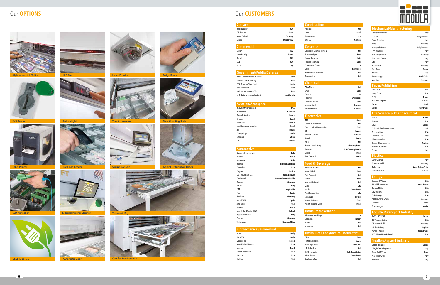# 









#### **Logistics/Transport Industry**

| AVTO LOGISTIKA            | Russia              |
|---------------------------|---------------------|
| <b>CSX Transportation</b> | <b>USA</b>          |
| DR Service Gmbh           | Germany             |
| Infrabel Railway          | <b>Belgium</b>      |
| Kuhne + Nagel             | <b>Spain/France</b> |
| MTA Metro North Railroad  | <b>IISA</b>         |
|                           |                     |

| <b>Life Science &amp; Pharmaceutical</b> |  |  |
|------------------------------------------|--|--|
|                                          |  |  |

| Abbott                           | France         |
|----------------------------------|----------------|
| Amgen                            | <b>USA</b>     |
| Bayer                            | Mexico         |
| <b>Colgate Palmolive Company</b> | <b>USA</b>     |
| <b>Cooper Vision</b>             | <b>USA</b>     |
| Fresenius Kabi                   | Italy          |
| GlaxoSmithKline                  | <b>USA</b>     |
| Janssen Pharmaceutical           | <b>Belgium</b> |
| Johnson & Johnson                | <b>USA</b>     |
| Roche                            | Italy          |

| <b>Mechanical/Manufacturing</b> |                     |
|---------------------------------|---------------------|
| Bonfiglioli Riduttori           | Italy               |
| Comau                           | Italy/Romania       |
| <b>Fanuc Robotics</b>           | Italy               |
| Fliegl                          | Germany             |
| Honeywell Garrett               | Italy/Romania       |
| <b>IMA</b> Industries           | Italy               |
| KBA Konig&Bauer                 | Germany             |
| Marchesini Group                | Italy               |
| Otis                            | Italy               |
| Rodo-ketten                     | Germany             |
| Seco Tools                      | France              |
| Su-matic                        | Italy               |
| Thyssenkrupp                    | <b>Brazil/China</b> |
| Vesuvius                        | Germany             |
| <b>Paper/Publishing</b>         |                     |
| Crane&Co                        | <b>USA</b>          |

#### **Plastics**

| Lavel Gomma      | Italy                      |
|------------------|----------------------------|
| Schwartz Gmbh    | Germany                    |
| Trelleborg       | <b>Great Britain/China</b> |
| Vision Extrusion | Canada                     |
|                  |                            |

#### **Energy**

| <b>Babcock &amp; Wilcox</b> | <b>USA</b>           |
|-----------------------------|----------------------|
| <b>BP British Petroleum</b> | <b>Great Britain</b> |
| <b>Conoco Philips</b>       | <b>USA</b>           |
| Dow-Kokam                   | <b>USA</b>           |
| Duke Energy                 | <b>USA</b>           |
| Nordex Energy Gmbh          | Germany              |
| Petrobras                   | Brazil               |
| Schlumberger                | Mexico               |
|                             |                      |

#### **Textiles/Apparel Industry**

| <b>Cotton Republic</b>    | Mexico |
|---------------------------|--------|
| Giorgio Armani Operations | Italy  |
| Jeans Knit PVT Ltd        | India  |
| Max Mara Group            | Italy  |
| Valentino                 | Italy  |
|                           |        |

| Crane&Co             | USA                 |
|----------------------|---------------------|
| <b>Irving Tissue</b> | <b>USA</b>          |
| <b>MPO</b>           | France              |
| Rocktenn Preprint    | Canada              |
| <b>SICPA</b>         | <b>Brazil</b>       |
| Sofidel              | <b>Italy/France</b> |

#### **Hydraulics/Oledynamics/Pneumatics**

| Dicsa                   | Spain                      |
|-------------------------|----------------------------|
| <b>Festo Pneumatics</b> | Mexico                     |
| Hawe Hydraulics         | USA/China                  |
| <b>HP Hydraulics</b>    | Italy                      |
| <b>IMM Hydraulics</b>   | <b>Italy/Great Britain</b> |
| Mono Pumps              | <b>Great Britain</b>       |
| Saq/Saqom Tubi          | Italy                      |
|                         |                            |

| Consumer                           |                        | <b>Construction</b>                      |                            |
|------------------------------------|------------------------|------------------------------------------|----------------------------|
| Black&Decker                       | <b>USA</b>             | Aluplast                                 | Italy                      |
| Cristian Lay                       | Spain                  | I.K.O.                                   | Canada                     |
| Maria Galland                      | Germany                | Saint Gobain                             | <b>USA</b>                 |
| Osram                              | <b>Mexico/Italy</b>    | Wilo SE                                  | Germany                    |
| <b>Commercial</b>                  |                        | <b>Ceramics</b>                          |                            |
| Costan                             | Italy                  | Cooperativa Ceramica di Imola            | Italy                      |
| <b>Deny Security</b>               | France                 | Euroceramique                            | Spain                      |
| Dewalt                             | <b>USA</b>             | Kajaria Ceramics                         | India                      |
| GGB                                | <b>USA</b>             | Pamesa Ceramica                          | Spain                      |
| Incold                             | Italy                  | Porcelanosa Group                        | USA                        |
|                                    |                        | Sacmi                                    | <b>Italy/Mexico</b>        |
| <b>Government/Public/Defense</b>   |                        | Serenissima Ceramiche                    | Italy                      |
| A.O.U. Ospedali Riuniti Di Trieste | Italy                  | Tecnografica                             | Italy                      |
| US Army / Airforce / Navy          | <b>USA</b>             |                                          |                            |
| <b>GOZ Obukhov State Plant</b>     | <b>Russia</b>          | <b>Chemical</b>                          |                            |
| Guardia di Finanza                 | Italy                  | Akzo Nobel                               | Italy                      |
| National Institutes of STDS        | <b>USA</b>             | <b>BASF</b>                              | Spain                      |
| NHS National Services Scotland     | <b>Great Britain</b>   | Dupont                                   | <b>USA</b>                 |
|                                    |                        | Firmenich                                | Switzerland                |
|                                    |                        | Grupo AC Marca                           | Spain                      |
| <b>Aviation/Aerospace</b>          |                        | Infracor Gmbh                            | Germany                    |
| <b>Barry Controls Aerospace</b>    | <b>USA</b>             | <b>Wacker Chemie</b>                     | Germany                    |
| <b>Bombardier</b>                  | Germany                |                                          |                            |
| <b>Dassault Aviation</b>           | France                 | <b>Electronics</b>                       |                            |
| Embraer                            | <b>Brazil</b>          | ABB                                      | Estonia                    |
| Eurocopter                         | France                 | Disano Illuminazione                     | Italy                      |
| <b>Israel Aerospace Industries</b> | <b>Israel</b>          | <b>Emerson Industrial Automation</b>     | <b>Brazil</b>              |
| <b>JPR</b>                         | France                 | ETI                                      | Slovenia                   |
| Krasny Oktyabr                     | <b>Russia</b>          | Johnson Controls                         | Germany                    |
| Lufthansa                          | China                  | Kemet                                    | Mexico                     |
| TFI                                | France                 | Moog                                     | Italy                      |
|                                    |                        | Rexroth Bosch Group                      | Germany/Russia             |
| <b>Automotive</b>                  |                        | Siemens                                  | <b>USA/Germany/Mexico</b>  |
| Automobili Lamborghini             | Italy                  | Staubli                                  | France                     |
| Axletech                           | France                 | <b>Tyco Electronics</b>                  | Mexico                     |
| Betamotor                          | Italy                  |                                          |                            |
| <b>Brembo</b>                      | Italy/Poland/China     | <b>Food &amp; Beverage</b>               |                            |
| Caterpillar                        | <b>USA</b>             | Acetaia di Modena                        | Italy                      |
| Chrysler                           | Mexico                 | <b>Beam Global</b>                       | Spain                      |
| CNH Industrial (FIAT)              | Spain/Belgium          | Contri Spumanti                          | Italy                      |
| Continental                        | Germany/Romania/Serbia | Damm                                     | Spain                      |
| Daimler                            | Germany                | Marchesi Antinori                        | Italy                      |
| Ferrari                            | Italy                  | Mars                                     | <b>USA</b>                 |
| <b>FIAT</b>                        | Italy/Serbia           | Nestle                                   | <b>Great Britain</b>       |
| Ford                               | Spain                  | Pepsi Corporation                        | <b>USA</b>                 |
| Goodyear                           | Germany                | Spendrups                                | Sweden                     |
| Iveco (FIAT)                       | Spain                  | Vonpar Refrescos                         | <b>Brazil</b>              |
| John Deere                         | USA                    | Yoplait (General Mills)                  | France                     |
| Renault                            | France                 |                                          |                            |
| New Holland Tractor (FIAT)         | Holland                | <b>Home Improvement</b>                  |                            |
| Pagani Automobili                  | Italy                  | Alexandria Mouldings                     | USA                        |
| Porsche                            | Germany                | Edilkamin                                | Hungary                    |
| Volkswagen                         | Germany/China          | Franke                                   | Italy                      |
|                                    |                        | Immergas                                 | Italy                      |
| <b>Biomechanical/Biomedical</b>    |                        |                                          |                            |
| <b>Biotec</b>                      | Italy                  | <b>Hydraulics/Oledynamics/Pneumatics</b> |                            |
| Fatro SPA                          | Italy                  | Dicsa                                    | Spain                      |
| Medison co.                        | Korea                  | <b>Festo Pneumatics</b>                  | Mexico                     |
| <b>Merit Medical Systems</b>       | <b>USA</b>             | Hawe Hydraulics                          | USA/China                  |
| Neodent                            | <b>Brazil</b>          | <b>HP Hydraulics</b>                     | Italy                      |
| <b>Steris Corporation</b>          | <b>USA</b>             | <b>IMM Hydraulics</b>                    | <b>Italy/Great Britain</b> |

## **Home Improvement**

| <b>IIIprovenient</b> |            |
|----------------------|------------|
| ouldings             | <b>USA</b> |
|                      | Hungary    |
|                      | Italy      |
|                      | Italy      |

| Dicsa                   |
|-------------------------|
| <b>Festo Pneumatics</b> |
| Hawe Hydraulics         |
| <b>HP Hydraulics</b>    |
| <b>IMM Hydraulics</b>   |
| Mono Pumps              |
| Saq/Saqom Tubi          |

| Construction                          |                           |
|---------------------------------------|---------------------------|
| Aluplast                              | Italy                     |
| I.K.O.                                | Canada                    |
| Saint Gobain                          | <b>USA</b>                |
| Wilo SE                               | Germany                   |
|                                       |                           |
| <b>Ceramics</b>                       |                           |
| Cooperativa Ceramica di Imola         | Italy                     |
| Euroceramique                         | <b>Spain</b>              |
| Kajaria Ceramics                      | India                     |
| Pamesa Ceramica                       | Spain                     |
| Porcelanosa Group                     | USA                       |
| Sacmi                                 | <b>Italy/Mexico</b>       |
| Serenissima Ceramiche                 | Italy                     |
| Tecnografica                          | Italy                     |
| <b>Chemical</b>                       |                           |
|                                       |                           |
| <b>Akzo Nobel</b>                     | Italy                     |
| <b>BASF</b>                           | <b>Spain</b>              |
| Dupont                                | <b>USA</b>                |
| Firmenich                             | <b>Switzerland</b>        |
| Grupo AC Marca                        | Spain                     |
| Infracor Gmbh<br><b>Wacker Chemie</b> | Germany                   |
|                                       | Germany                   |
| <b>Electronics</b>                    |                           |
| ABB                                   | Estonia                   |
| Disano Illuminazione                  | Italy                     |
| <b>Emerson Industrial Automation</b>  | <b>Brazil</b>             |
| ETI                                   | Slovenia                  |
| <b>Johnson Controls</b>               | Germany                   |
| Kemet                                 | Mexico                    |
| Moog                                  | Italy                     |
| Rexroth Bosch Group                   | Germany/Russia            |
| <b>Siemens</b>                        | <b>USA/Germany/Mexico</b> |
| Staubli                               | <b>France</b>             |
| <b>Tyco Electronics</b>               | Mexico                    |
| <b>Food &amp; Beverage</b>            |                           |
| Acetaia di Modena                     | Italy                     |
| Beam Global                           | Spain                     |

**Brazil** 

Symrise **USA** Synthes **USA**

### Our **CUSTOMERS**

**ESD Protection**







**Modula Green**